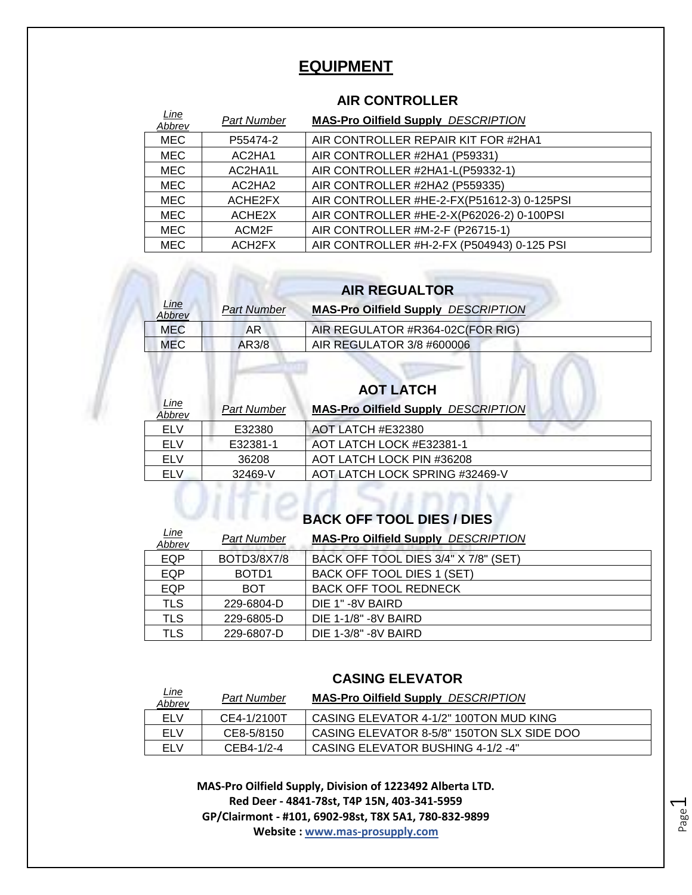#### **EQUIPMENT**

#### **AIR CONTROLLER**

| <u>Line</u><br>Abbrev | <b>Part Number</b> | <b>MAS-Pro Oilfield Supply DESCRIPTION</b> |
|-----------------------|--------------------|--------------------------------------------|
| <b>MEC</b>            | P55474-2           | AIR CONTROLLER REPAIR KIT FOR #2HA1        |
| <b>MEC</b>            | AC2HA1             | AIR CONTROLLER #2HA1 (P59331)              |
| <b>MEC</b>            | AC2HA1L            | AIR CONTROLLER #2HA1-L(P59332-1)           |
| <b>MEC</b>            | AC2HA2             | AIR CONTROLLER #2HA2 (P559335)             |
| <b>MEC</b>            | ACHE2FX            | AIR CONTROLLER #HE-2-FX(P51612-3) 0-125PSI |
| <b>MEC</b>            | ACHE <sub>2X</sub> | AIR CONTROLLER #HE-2-X(P62026-2) 0-100PSI  |
| <b>MEC</b>            | ACM2F              | AIR CONTROLLER #M-2-F (P26715-1)           |
| <b>MEC</b>            | ACH2FX             | AIR CONTROLLER #H-2-FX (P504943) 0-125 PSI |

#### **AIR REGUALTOR**

| Line<br>Abbrev | Part Number | <b>MAS-Pro Oilfield Supply DESCRIPTION</b> |
|----------------|-------------|--------------------------------------------|
| MEC            | AR          | AIR REGULATOR #R364-02C(FOR RIG)           |
| <b>MEC</b>     | AR3/8       | AIR REGULATOR 3/8 #600006                  |

## **AOT LATCH**

| Line<br>Abbrev | <b>Part Number</b> | <b>MAS-Pro Oilfield Supply DESCRIPTION</b> |
|----------------|--------------------|--------------------------------------------|
| ELV            | E32380             | AOT LATCH #E32380                          |
| ELV            | E32381-1           | AOT LATCH LOCK #E32381-1                   |
| FI V           | 36208              | AOT LATCH LOCK PIN #36208                  |
| ELV            | 32469-V            | AOT LATCH LOCK SPRING #32469-V             |

# **BACK OFF TOOL DIES / DIES**

| <u>Line</u><br>Abbrev | Part Number        | <b>MAS-Pro Oilfield Supply DESCRIPTION</b> |
|-----------------------|--------------------|--------------------------------------------|
| <b>EQP</b>            | <b>BOTD3/8X7/8</b> | BACK OFF TOOL DIES 3/4" X 7/8" (SET)       |
| EQP                   | BOTD <sub>1</sub>  | BACK OFF TOOL DIES 1 (SET)                 |
| <b>EQP</b>            | <b>BOT</b>         | <b>BACK OFF TOOL REDNECK</b>               |
| <b>TLS</b>            | 229-6804-D         | DIE 1"-8V BAIRD                            |
| <b>TLS</b>            | 229-6805-D         | DIE 1-1/8" -8V BAIRD                       |
| TLS                   | 229-6807-D         | DIE 1-3/8" - 8V BAIRD                      |

#### **CASING ELEVATOR**

| <u>Line</u><br>Abbrev | Part Number | <b>MAS-Pro Oilfield Supply DESCRIPTION</b> |
|-----------------------|-------------|--------------------------------------------|
| ELV                   | CE4-1/2100T | CASING ELEVATOR 4-1/2" 100TON MUD KING     |
| ELV                   | CE8-5/8150  | CASING ELEVATOR 8-5/8" 150TON SLX SIDE DOO |
| ELV                   | CEB4-1/2-4  | CASING ELEVATOR BUSHING 4-1/2 -4"          |

Page  $\overline{\phantom{0}}$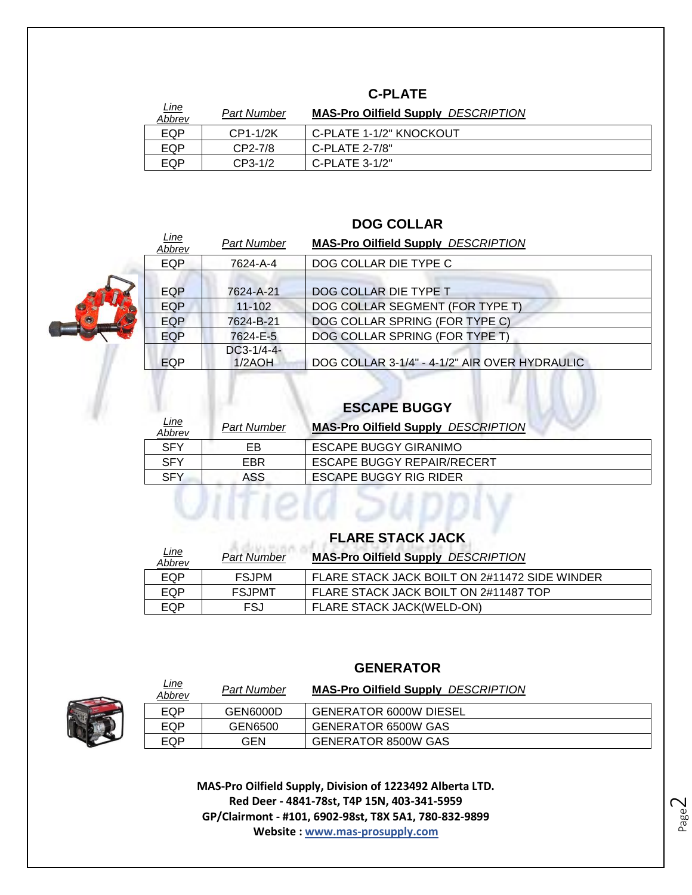#### **C-PLATE**

| <u>Line</u><br>Abbrev | <b>Part Number</b> | <b>MAS-Pro Oilfield Supply DESCRIPTION</b> |
|-----------------------|--------------------|--------------------------------------------|
| EQP                   | CP1-1/2K           | C-PLATE 1-1/2" KNOCKOUT                    |
| EQP                   | $CP2-7/8$          | $C-PLATE$ 2-7/8"                           |
| EQP                   | $CP3-1/2$          | C-PLATE $3-1/2"$                           |

#### **DOG COLLAR**

| <u>Line</u><br>Abbrev | <b>Part Number</b>     | <b>MAS-Pro Oilfield Supply DESCRIPTION</b>    |
|-----------------------|------------------------|-----------------------------------------------|
| <b>EQP</b>            | 7624-A-4               | DOG COLLAR DIE TYPE C                         |
| <b>EQP</b>            | 7624-A-21              | DOG COLLAR DIE TYPE T                         |
| <b>EQP</b>            | $11 - 102$             | DOG COLLAR SEGMENT (FOR TYPE T)               |
| <b>EQP</b>            | 7624-B-21              | DOG COLLAR SPRING (FOR TYPE C)                |
| <b>EQP</b>            | 7624-E-5               | DOG COLLAR SPRING (FOR TYPE T)                |
| EQP                   | $DC3-1/4-4-$<br>1/2AOH | DOG COLLAR 3-1/4" - 4-1/2" AIR OVER HYDRAULIC |

### **ESCAPE BUGGY**

| <u>Line</u><br>Abbrev | <b>Part Number</b> | <b>MAS-Pro Oilfield Supply DESCRIPTION</b> |
|-----------------------|--------------------|--------------------------------------------|
| <b>SFY</b>            | EB                 | <b>ESCAPE BUGGY GIRANIMO</b>               |
| <b>SFY</b>            | EBR.               | <b>ESCAPE BUGGY REPAIR/RECERT</b>          |
| <b>SFY</b>            | ASS.               | <b>ESCAPE BUGGY RIG RIDER</b>              |
|                       |                    |                                            |
|                       |                    |                                            |

#### **FLARE STACK JACK**

| <u>Line</u><br>Abbrev | <b>Part Number</b> | <b>MAS-Pro Oilfield Supply DESCRIPTION</b>    |
|-----------------------|--------------------|-----------------------------------------------|
| EQP                   | <b>FSJPM</b>       | FLARE STACK JACK BOILT ON 2#11472 SIDE WINDER |
| EQP                   | <b>FSJPMT</b>      | FLARE STACK JACK BOILT ON 2#11487 TOP         |
| EQP                   | FSJ                | <b>FLARE STACK JACK(WELD-ON)</b>              |

#### **GENERATOR**



*Line* 

| <u>Line</u><br>Abbrev | <b>Part Number</b> | <b>MAS-Pro Oilfield Supply DESCRIPTION</b> |
|-----------------------|--------------------|--------------------------------------------|
| EQP                   | GEN6000D           | <b>GENERATOR 6000W DIESEL</b>              |
| EQP                   | GEN6500            | <b>GENERATOR 6500W GAS</b>                 |
| EQP                   | GEN                | <b>GENERATOR 8500W GAS</b>                 |

**MAS-Pro Oilfield Supply, Division of 1223492 Alberta LTD. Red Deer - 4841-78st, T4P 15N, 403-341-5959 GP/Clairmont - #101, 6902-98st, T8X 5A1, 780-832-9899 Website : www.mas-prosupply.com**

Page  $\mathrel{\sim}$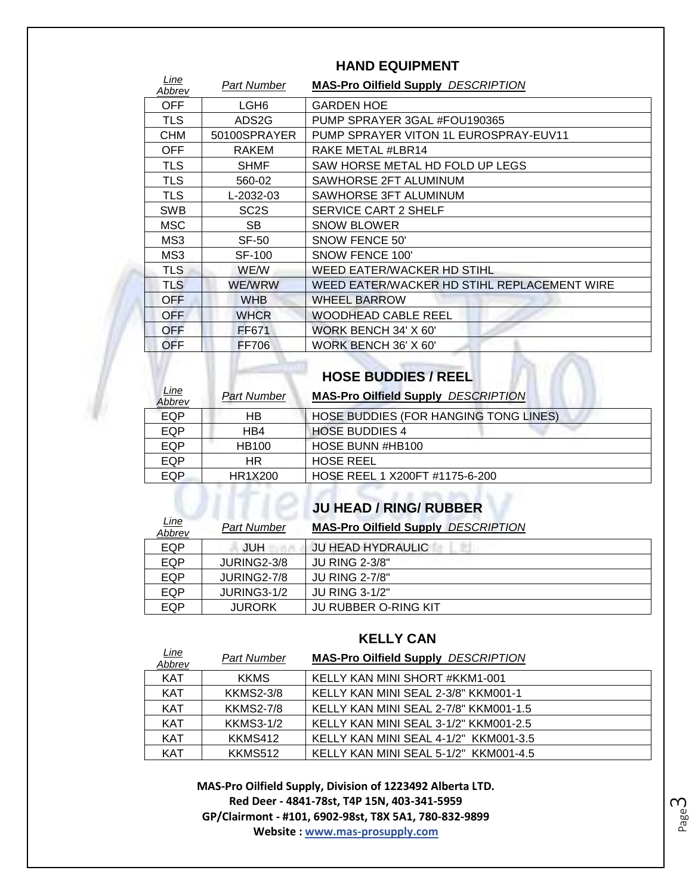| Line<br>Abbrev | Part Number       | <b>MAS-Pro Oilfield Supply DESCRIPTION</b>  |
|----------------|-------------------|---------------------------------------------|
| OFF            | LGH <sub>6</sub>  | <b>GARDEN HOE</b>                           |
| <b>TLS</b>     | ADS2G             | PUMP SPRAYER 3GAL #FOU190365                |
| <b>CHM</b>     | 50100SPRAYER      | PUMP SPRAYER VITON 1L EUROSPRAY-EUV11       |
| <b>OFF</b>     | <b>RAKEM</b>      | RAKE METAL #LBR14                           |
| <b>TLS</b>     | SHMF              | SAW HORSE METAL HD FOLD UP LEGS             |
| <b>TLS</b>     | 560-02            | SAWHORSE 2FT ALUMINUM                       |
| <b>TLS</b>     | L-2032-03         | SAWHORSE 3FT ALUMINUM                       |
| <b>SWB</b>     | SC <sub>2</sub> S | <b>SERVICE CART 2 SHELF</b>                 |
| <b>MSC</b>     | <b>SB</b>         | <b>SNOW BLOWER</b>                          |
| MS3            | SF-50             | SNOW FENCE 50'                              |
| MS3            | <b>SF-100</b>     | SNOW FENCE 100'                             |
| TLS.           | <b>WE/W</b>       | WEED EATER/WACKER HD STIHL                  |
| <b>TLS</b>     | <b>WE/WRW</b>     | WEED EATER/WACKER HD STIHL REPLACEMENT WIRE |
| <b>OFF</b>     | <b>WHB</b>        | <b>WHEEL BARROW</b>                         |
| <b>OFF</b>     | <b>WHCR</b>       | <b>WOODHEAD CABLE REEL</b>                  |
| <b>OFF</b>     | FF671             | WORK BENCH 34' X 60'                        |
| OFF            | <b>FF706</b>      | WORK BENCH 36' X 60'                        |

#### **HAND EQUIPMENT**

#### **HOSE BUDDIES / REEL**

| <b>Line</b><br>Abbrev | Part Number  | <b>MAS-Pro Oilfield Supply DESCRIPTION</b>   |
|-----------------------|--------------|----------------------------------------------|
| EQP                   | НB           | <b>HOSE BUDDIES (FOR HANGING TONG LINES)</b> |
| EQP                   | HB4          | <b>HOSE BUDDIES 4</b>                        |
| EQP                   | <b>HB100</b> | HOSE BUNN #HB100                             |
| EQP                   | HR.          | <b>HOSE REEL</b>                             |
| <b>EQP</b>            | HR1X200      | HOSE REEL 1 X200FT #1175-6-200               |

#### **JU HEAD / RING/ RUBBER**

| <u>Line</u><br>Abbrev | <b>Part Number</b> | <b>MAS-Pro Oilfield Supply DESCRIPTION</b> |
|-----------------------|--------------------|--------------------------------------------|
| EQP                   | JUH                | <b>JU HEAD HYDRAULIC</b>                   |
| EQP                   | JURING2-3/8        | <b>JU RING 2-3/8"</b>                      |
| EQP                   | JURING2-7/8        | <b>JU RING 2-7/8"</b>                      |
| EQP                   | JURING3-1/2        | <b>JU RING 3-1/2"</b>                      |
| EQP                   | <b>JURORK</b>      | <b>JU RUBBER O-RING KIT</b>                |

#### **KELLY CAN**

| <u>Line</u><br>Abbrev | <b>Part Number</b> | <b>MAS-Pro Oilfield Supply DESCRIPTION</b> |
|-----------------------|--------------------|--------------------------------------------|
| <b>KAT</b>            | <b>KKMS</b>        | KELLY KAN MINI SHORT #KKM1-001             |
| <b>KAT</b>            | <b>KKMS2-3/8</b>   | KELLY KAN MINI SEAL 2-3/8" KKM001-1        |
| <b>KAT</b>            | <b>KKMS2-7/8</b>   | KELLY KAN MINI SEAL 2-7/8" KKM001-1.5      |
| <b>KAT</b>            | <b>KKMS3-1/2</b>   | KELLY KAN MINI SEAL 3-1/2" KKM001-2.5      |
| <b>KAT</b>            | KKMS412            | KELLY KAN MINI SEAL 4-1/2" KKM001-3.5      |
| <b>KAT</b>            | KKMS512            | KELLY KAN MINI SEAL 5-1/2" KKM001-4.5      |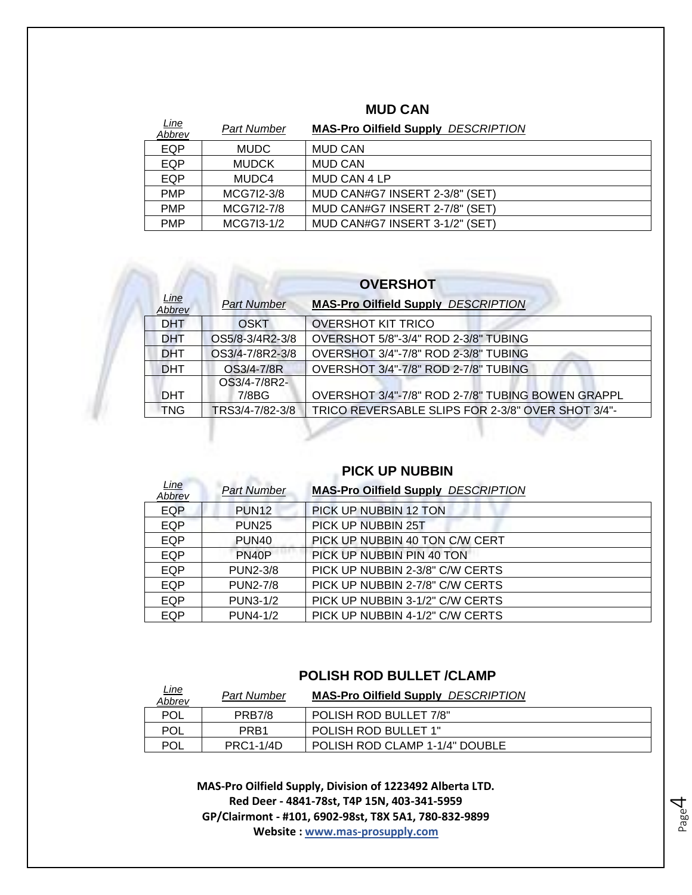| <u>Line</u><br><b>Abbrev</b> | Part Number  | <b>MAS-Pro Oilfield Supply DESCRIPTION</b> |
|------------------------------|--------------|--------------------------------------------|
| EQP                          | <b>MUDC</b>  | <b>MUD CAN</b>                             |
| <b>EQP</b>                   | <b>MUDCK</b> | <b>MUD CAN</b>                             |
| <b>EQP</b>                   | MUDC4        | MUD CAN 4 LP                               |
| <b>PMP</b>                   | MCG7I2-3/8   | MUD CAN#G7 INSERT 2-3/8" (SET)             |
| <b>PMP</b>                   | MCG7I2-7/8   | MUD CAN#G7 INSERT 2-7/8" (SET)             |
| <b>PMP</b>                   | MCG7I3-1/2   | MUD CAN#G7 INSERT 3-1/2" (SET)             |

#### **MUD CAN**

#### **OVERSHOT**

| Line<br>Abbrev | <b>Part Number</b> | <b>MAS-Pro Oilfield Supply DESCRIPTION</b>        |
|----------------|--------------------|---------------------------------------------------|
| <b>DHT</b>     | OSKT               | <b>OVERSHOT KIT TRICO</b>                         |
| <b>DHT</b>     | OS5/8-3/4R2-3/8    | OVERSHOT 5/8"-3/4" ROD 2-3/8" TUBING              |
| <b>DHT</b>     | OS3/4-7/8R2-3/8    | OVERSHOT 3/4"-7/8" ROD 2-3/8" TUBING              |
| <b>DHT</b>     | OS3/4-7/8R         | OVERSHOT 3/4"-7/8" ROD 2-7/8" TUBING              |
|                | OS3/4-7/8R2-       |                                                   |
| <b>DHT</b>     | 7/8BG              | OVERSHOT 3/4"-7/8" ROD 2-7/8" TUBING BOWEN GRAPPL |
| <b>TNG</b>     | TRS3/4-7/82-3/8    | TRICO REVERSABLE SLIPS FOR 2-3/8" OVER SHOT 3/4"- |
|                |                    |                                                   |

#### **PICK UP NUBBIN**

| <u>Line</u><br>Abbrev | <b>Part Number</b> | <b>MAS-Pro Oilfield Supply DESCRIPTION</b> |
|-----------------------|--------------------|--------------------------------------------|
| EQP                   | PUN <sub>12</sub>  | PICK UP NUBBIN 12 TON                      |
| EQP                   | <b>PUN25</b>       | PICK UP NUBBIN 25T                         |
| <b>EQP</b>            | PUN <sub>40</sub>  | PICK UP NUBBIN 40 TON C/W CERT             |
| <b>EQP</b>            | PN <sub>40</sub> P | PICK UP NUBBIN PIN 40 TON                  |
| <b>EQP</b>            | <b>PUN2-3/8</b>    | PICK UP NUBBIN 2-3/8" C/W CERTS            |
| <b>EQP</b>            | <b>PUN2-7/8</b>    | PICK UP NUBBIN 2-7/8" C/W CERTS            |
| <b>EQP</b>            | <b>PUN3-1/2</b>    | PICK UP NUBBIN 3-1/2" C/W CERTS            |
| <b>EQP</b>            | <b>PUN4-1/2</b>    | PICK UP NUBBIN 4-1/2" C/W CERTS            |

#### **POLISH ROD BULLET /CLAMP**

| <u>Line</u><br>Abbrev | <b>Part Number</b> | <b>MAS-Pro Oilfield Supply DESCRIPTION</b> |
|-----------------------|--------------------|--------------------------------------------|
| <b>POL</b>            | <b>PRB7/8</b>      | POLISH ROD BULLET 7/8"                     |
| <b>POL</b>            | PRB <sub>1</sub>   | POLISH ROD BULLET 1"                       |
| POL                   | <b>PRC1-1/4D</b>   | POLISH ROD CLAMP 1-1/4" DOUBLE             |

Page 4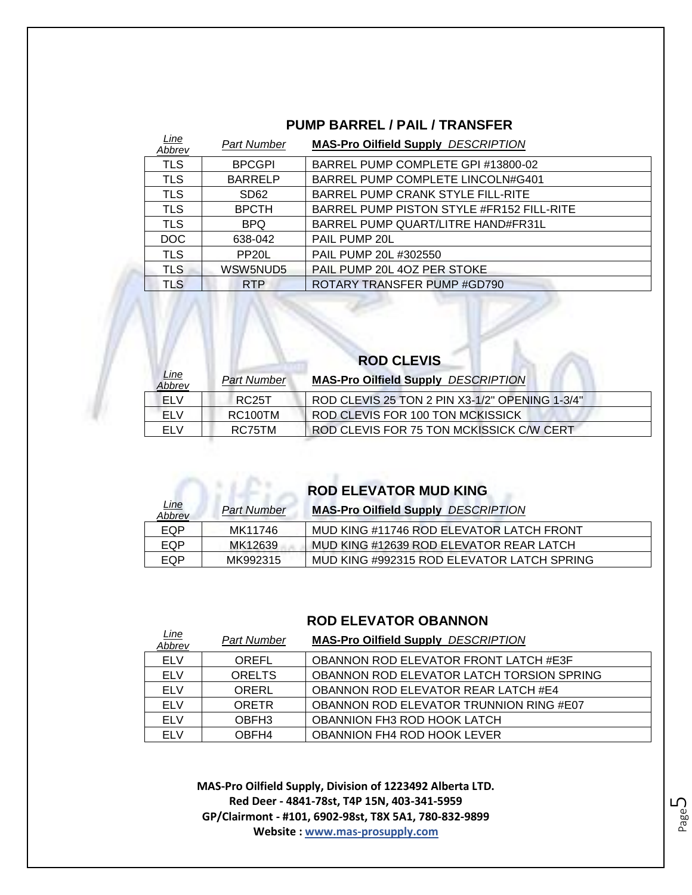#### **PUMP BARREL / PAIL / TRANSFER**

| Line<br>Abbrev | <b>Part Number</b> | <b>MAS-Pro Oilfield Supply DESCRIPTION</b> |
|----------------|--------------------|--------------------------------------------|
| <b>TLS</b>     | <b>BPCGPI</b>      | BARREL PUMP COMPLETE GPI #13800-02         |
| <b>TLS</b>     | <b>BARRELP</b>     | BARREL PUMP COMPLETE LINCOLN#G401          |
| <b>TLS</b>     | SD <sub>62</sub>   | BARREL PUMP CRANK STYLE FILL-RITE          |
| <b>TLS</b>     | <b>BPCTH</b>       | BARREL PUMP PISTON STYLE #FR152 FILL-RITE  |
| <b>TLS</b>     | <b>BPQ</b>         | BARREL PUMP QUART/LITRE HAND#FR31L         |
| DOC.           | 638-042            | PAIL PUMP 20L                              |
| <b>TLS</b>     | PP <sub>20</sub> L | PAIL PUMP 20L #302550                      |
| <b>TLS</b>     | WSW5NUD5           | PAIL PUMP 20L 4OZ PER STOKE                |
| <b>TLS</b>     | <b>RTP</b>         | ROTARY TRANSFER PUMP #GD790                |

| <b>ROD CLEVIS</b>     |                    |                                                |
|-----------------------|--------------------|------------------------------------------------|
| <u>Line</u><br>Abbrev | <b>Part Number</b> | <b>MAS-Pro Oilfield Supply DESCRIPTION</b>     |
| <b>ELV</b>            | RC <sub>25</sub> T | ROD CLEVIS 25 TON 2 PIN X3-1/2" OPENING 1-3/4" |
| FI V                  | <b>RC100TM</b>     | <b>ROD CLEVIS FOR 100 TON MCKISSICK</b>        |
| FI V                  | RC75TM             | ROD CLEVIS FOR 75 TON MCKISSICK C/W CERT       |

**ROD ELEVATOR MUD KING** 

r

| <u>Line</u><br>Abbrev | <b>Part Number</b> | <b>MAS-Pro Oilfield Supply DESCRIPTION</b> |
|-----------------------|--------------------|--------------------------------------------|
| EQP                   | MK11746            | MUD KING #11746 ROD ELEVATOR LATCH FRONT   |
| EQP                   | MK12639            | MUD KING #12639 ROD ELEVATOR REAR LATCH    |
| EQP                   | MK992315           | MUD KING #992315 ROD ELEVATOR LATCH SPRING |

#### **ROD ELEVATOR OBANNON**

| <u>Line</u><br>Abbrev | <b>Part Number</b> | <b>MAS-Pro Oilfield Supply DESCRIPTION</b>   |
|-----------------------|--------------------|----------------------------------------------|
| <b>ELV</b>            | OREFL              | <b>OBANNON ROD ELEVATOR FRONT LATCH #E3F</b> |
| <b>ELV</b>            | <b>ORELTS</b>      | OBANNON ROD ELEVATOR LATCH TORSION SPRING    |
| <b>ELV</b>            | ORERL              | <b>OBANNON ROD ELEVATOR REAR LATCH #E4</b>   |
| <b>ELV</b>            | <b>ORETR</b>       | OBANNON ROD ELEVATOR TRUNNION RING #E07      |
| <b>ELV</b>            | OBFH <sub>3</sub>  | <b>OBANNION FH3 ROD HOOK LATCH</b>           |
| FI V                  | OBFH4              | OBANNION FH4 ROD HOOK LEVER                  |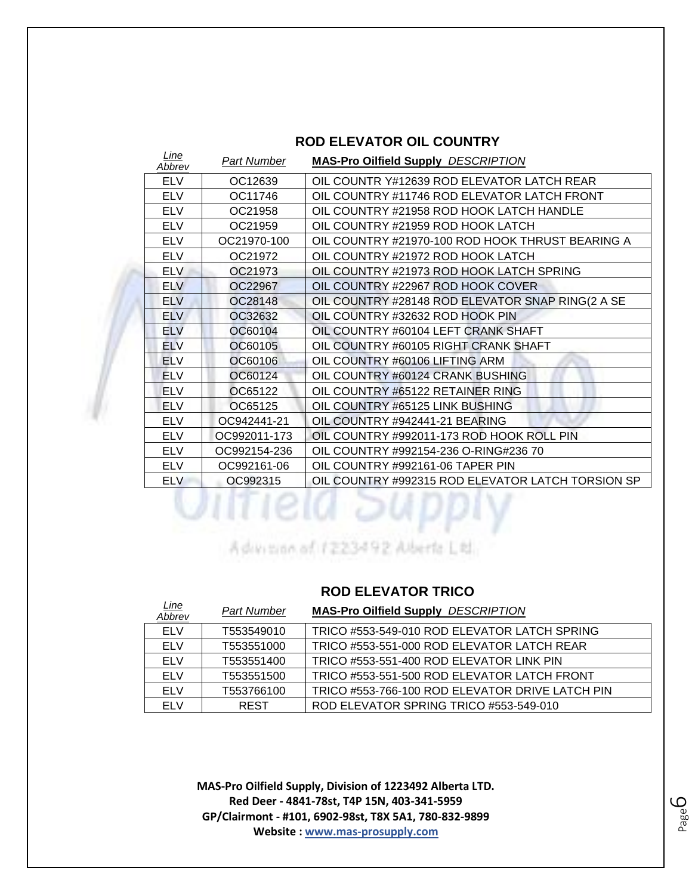| <u>Line</u><br>Abbrev | Part Number  | <b>MAS-Pro Oilfield Supply DESCRIPTION</b>        |
|-----------------------|--------------|---------------------------------------------------|
| <b>ELV</b>            | OC12639      | OIL COUNTR Y#12639 ROD ELEVATOR LATCH REAR        |
| <b>ELV</b>            | OC11746      | OIL COUNTRY #11746 ROD ELEVATOR LATCH FRONT       |
| <b>ELV</b>            | OC21958      | OIL COUNTRY #21958 ROD HOOK LATCH HANDLE          |
| <b>ELV</b>            | OC21959      | OIL COUNTRY #21959 ROD HOOK LATCH                 |
| <b>ELV</b>            | OC21970-100  | OIL COUNTRY #21970-100 ROD HOOK THRUST BEARING A  |
| <b>ELV</b>            | OC21972      | OIL COUNTRY #21972 ROD HOOK LATCH                 |
| <b>ELV</b>            | OC21973      | OIL COUNTRY #21973 ROD HOOK LATCH SPRING          |
| <b>ELV</b>            | OC22967      | OIL COUNTRY #22967 ROD HOOK COVER                 |
| <b>ELV</b>            | OC28148      | OIL COUNTRY #28148 ROD ELEVATOR SNAP RING(2 A SE  |
| <b>ELV</b>            | OC32632      | OIL COUNTRY #32632 ROD HOOK PIN                   |
| <b>ELV</b>            | OC60104      | OIL COUNTRY #60104 LEFT CRANK SHAFT               |
| <b>ELV</b>            | OC60105      | OIL COUNTRY #60105 RIGHT CRANK SHAFT              |
| <b>ELV</b>            | OC60106      | OIL COUNTRY #60106 LIFTING ARM                    |
| <b>ELV</b>            | OC60124      | OIL COUNTRY #60124 CRANK BUSHING                  |
| <b>ELV</b>            | OC65122      | OIL COUNTRY #65122 RETAINER RING                  |
| <b>ELV</b>            | OC65125      | OIL COUNTRY #65125 LINK BUSHING                   |
| <b>ELV</b>            | OC942441-21  | OIL COUNTRY #942441-21 BEARING                    |
| <b>ELV</b>            | OC992011-173 | OIL COUNTRY #992011-173 ROD HOOK ROLL PIN         |
| <b>ELV</b>            | OC992154-236 | OIL COUNTRY #992154-236 O-RING#236 70             |
| <b>ELV</b>            | OC992161-06  | OIL COUNTRY #992161-06 TAPER PIN                  |
| <b>ELV</b>            | OC992315     | OIL COUNTRY #992315 ROD ELEVATOR LATCH TORSION SP |

#### **ROD ELEVATOR OIL COUNTRY**

Advisor of 1223492 Aberta Ltd.

#### **ROD ELEVATOR TRICO**

| <u>Line</u><br>Abbrev | <b>Part Number</b> | <b>MAS-Pro Oilfield Supply DESCRIPTION</b>      |
|-----------------------|--------------------|-------------------------------------------------|
| <b>ELV</b>            | T553549010         | TRICO #553-549-010 ROD ELEVATOR LATCH SPRING    |
| <b>ELV</b>            | T553551000         | TRICO #553-551-000 ROD ELEVATOR LATCH REAR      |
| <b>ELV</b>            | T553551400         | TRICO #553-551-400 ROD ELEVATOR LINK PIN        |
| <b>ELV</b>            | T553551500         | TRICO #553-551-500 ROD ELEVATOR LATCH FRONT     |
| FI V                  | T553766100         | TRICO #553-766-100 ROD ELEVATOR DRIVE LATCH PIN |
| FI V                  | <b>REST</b>        | ROD ELEVATOR SPRING TRICO #553-549-010          |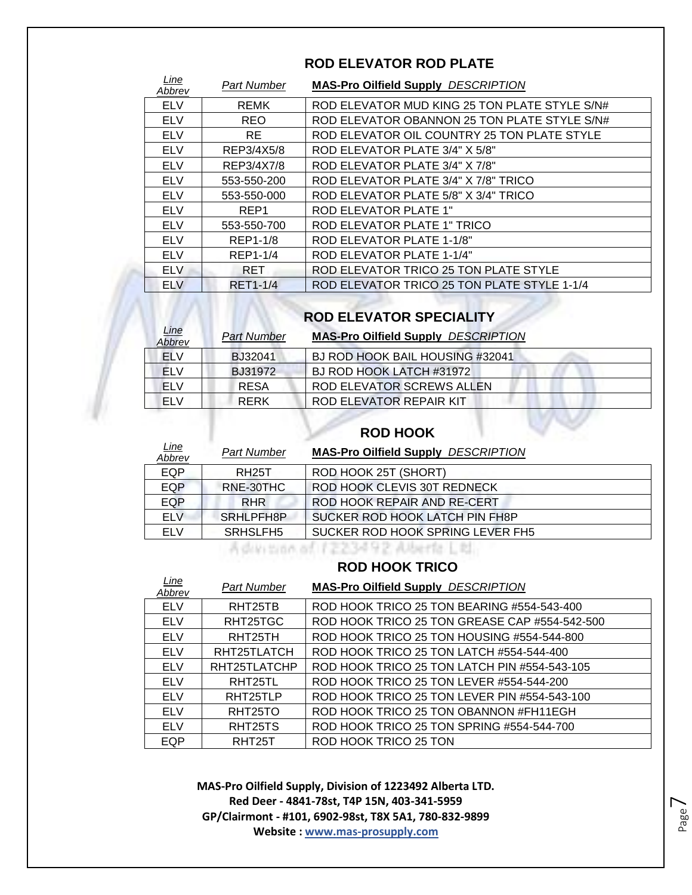| Line<br>Abbrev | <b>Part Number</b> | <b>MAS-Pro Oilfield Supply DESCRIPTION</b>    |
|----------------|--------------------|-----------------------------------------------|
| <b>ELV</b>     | <b>REMK</b>        | ROD ELEVATOR MUD KING 25 TON PLATE STYLE S/N# |
| <b>ELV</b>     | <b>REO</b>         | ROD ELEVATOR OBANNON 25 TON PLATE STYLE S/N#  |
| <b>ELV</b>     | <b>RE</b>          | ROD ELEVATOR OIL COUNTRY 25 TON PLATE STYLE   |
| <b>ELV</b>     | REP3/4X5/8         | ROD ELEVATOR PLATE 3/4" X 5/8"                |
| <b>ELV</b>     | REP3/4X7/8         | ROD ELEVATOR PLATE 3/4" X 7/8"                |
| <b>ELV</b>     | 553-550-200        | ROD ELEVATOR PLATE 3/4" X 7/8" TRICO          |
| <b>ELV</b>     | 553-550-000        | ROD ELEVATOR PLATE 5/8" X 3/4" TRICO          |
| <b>ELV</b>     | REP <sub>1</sub>   | <b>ROD ELEVATOR PLATE 1"</b>                  |
| <b>ELV</b>     | 553-550-700        | ROD ELEVATOR PLATE 1" TRICO                   |
| <b>ELV</b>     | REP1-1/8           | ROD ELEVATOR PLATE 1-1/8"                     |
| <b>ELV</b>     | REP1-1/4           | ROD ELEVATOR PLATE 1-1/4"                     |
| <b>ELV</b>     | <b>RET</b>         | ROD ELEVATOR TRICO 25 TON PLATE STYLE         |
| <b>ELV</b>     | <b>RET1-1/4</b>    | ROD ELEVATOR TRICO 25 TON PLATE STYLE 1-1/4   |

### **ROD ELEVATOR SPECIALITY**

| <u>Line</u><br>Abbrev | <b>Part Number</b> | <b>MAS-Pro Oilfield Supply DESCRIPTION</b> |  |
|-----------------------|--------------------|--------------------------------------------|--|
| <b>ELV</b>            | BJ32041            | BJ ROD HOOK BAIL HOUSING #32041            |  |
| <b>ELV</b>            | BJ31972            | BJ ROD HOOK LATCH #31972                   |  |
| <b>ELV</b>            | <b>RESA</b>        | ROD ELEVATOR SCREWS ALLEN                  |  |
| <b>ELV</b>            | <b>RERK</b>        | ROD ELEVATOR REPAIR KIT                    |  |

#### **ROD HOOK**

| <u>Line</u><br>Abbrev | <b>Part Number</b>   | <b>MAS-Pro Oilfield Supply DESCRIPTION</b> |
|-----------------------|----------------------|--------------------------------------------|
| <b>EQP</b>            | <b>RH25T</b>         | ROD HOOK 25T (SHORT)                       |
| <b>EQP</b>            | RNE-30THC            | ROD HOOK CLEVIS 30T REDNECK                |
| EQP                   | <b>RHR</b>           | ROD HOOK REPAIR AND RE-CERT                |
| <b>ELV</b>            | SRHLPFH8P            | SUCKER ROD HOOK LATCH PIN FH8P             |
| ELV                   | SRHSLFH <sub>5</sub> | SUCKER ROD HOOK SPRING LEVER FH5           |

Advision of 1223492 Alberta Ltd.

#### **ROD HOOK TRICO**

| Line<br>Abbrev | <b>Part Number</b>   | <b>MAS-Pro Oilfield Supply DESCRIPTION</b>    |
|----------------|----------------------|-----------------------------------------------|
| <b>ELV</b>     | RHT25TB              | ROD HOOK TRICO 25 TON BEARING #554-543-400    |
| <b>ELV</b>     | RHT25TGC             | ROD HOOK TRICO 25 TON GREASE CAP #554-542-500 |
| <b>ELV</b>     | RHT25TH              | ROD HOOK TRICO 25 TON HOUSING #554-544-800    |
| <b>ELV</b>     | RHT25TLATCH          | ROD HOOK TRICO 25 TON LATCH #554-544-400      |
| <b>ELV</b>     | RHT25TLATCHP         | ROD HOOK TRICO 25 TON LATCH PIN #554-543-105  |
| <b>ELV</b>     | RHT25TL              | ROD HOOK TRICO 25 TON LEVER #554-544-200      |
| <b>ELV</b>     | RHT25TLP             | ROD HOOK TRICO 25 TON LEVER PIN #554-543-100  |
| <b>ELV</b>     | RHT <sub>25</sub> TO | ROD HOOK TRICO 25 TON OBANNON #FH11EGH        |
| <b>ELV</b>     | RHT25TS              | ROD HOOK TRICO 25 TON SPRING #554-544-700     |
| EQP            | RHT <sub>25</sub> T  | ROD HOOK TRICO 25 TON                         |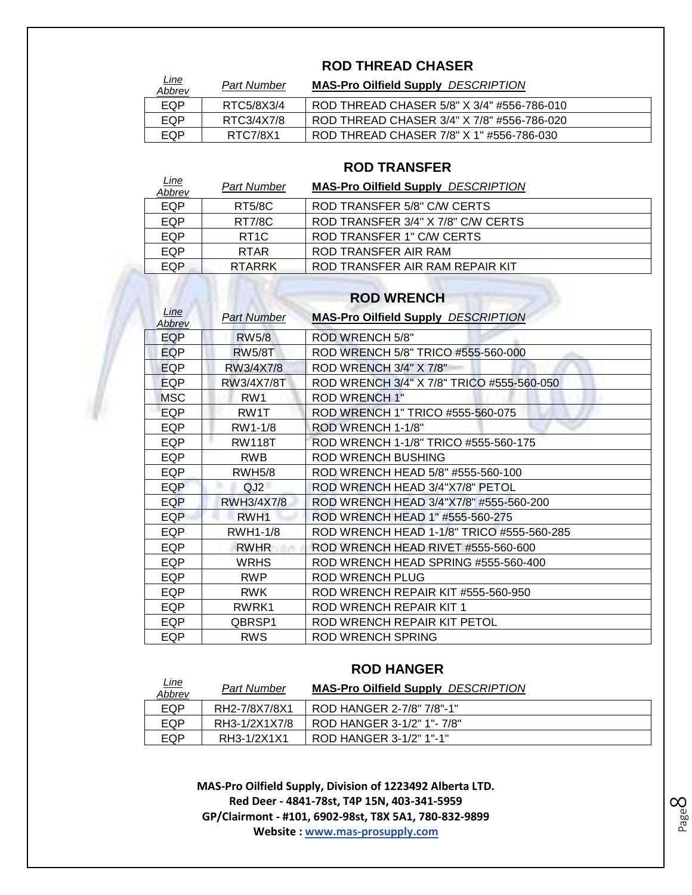#### **ROD THREAD CHASER**

| <u>Line</u><br><b>Abbrev</b> | Part Number | <b>MAS-Pro Oilfield Supply DESCRIPTION</b> |
|------------------------------|-------------|--------------------------------------------|
| EQP                          | RTC5/8X3/4  | ROD THREAD CHASER 5/8" X 3/4" #556-786-010 |
| EQP                          | RTC3/4X7/8  | ROD THREAD CHASER 3/4" X 7/8" #556-786-020 |
| EQP                          | RTC7/8X1    | ROD THREAD CHASER 7/8" X 1" #556-786-030   |

#### **ROD TRANSFER**

| <u>Line</u> |                   |                                            |
|-------------|-------------------|--------------------------------------------|
| Abbrev      | Part Number       | <b>MAS-Pro Oilfield Supply DESCRIPTION</b> |
| EQP         | <b>RT5/8C</b>     | ROD TRANSFER 5/8" C/W CERTS                |
| EQP         | <b>RT7/8C</b>     | ROD TRANSFER 3/4" X 7/8" C/W CERTS         |
| EQP         | RT <sub>1</sub> C | <b>ROD TRANSFER 1" C/W CERTS</b>           |
| EQP         | <b>RTAR</b>       | ROD TRANSFER AIR RAM                       |
| EQP         | RTARRK            | ROD TRANSFER AIR RAM REPAIR KIT            |

#### **ROD WRENCH**

| Line<br>Abbrev | Part Number      | <b>MAS-Pro Oilfield Supply DESCRIPTION</b> |
|----------------|------------------|--------------------------------------------|
| <b>EQP</b>     | <b>RW5/8</b>     | <b>ROD WRENCH 5/8"</b>                     |
| EQP            | <b>RW5/8T</b>    | ROD WRENCH 5/8" TRICO #555-560-000         |
| EQP            | RW3/4X7/8        | ROD WRENCH 3/4" X 7/8"                     |
| <b>EQP</b>     | RW3/4X7/8T       | ROD WRENCH 3/4" X 7/8" TRICO #555-560-050  |
| <b>MSC</b>     | RW <sub>1</sub>  | <b>ROD WRENCH 1"</b>                       |
| <b>EQP</b>     | RW1T             | ROD WRENCH 1" TRICO #555-560-075           |
| <b>EQP</b>     | RW1-1/8          | ROD WRENCH 1-1/8"                          |
| EQP            | <b>RW118T</b>    | ROD WRENCH 1-1/8" TRICO #555-560-175       |
| EQP            | <b>RWB</b>       | <b>ROD WRENCH BUSHING</b>                  |
| <b>EQP</b>     | <b>RWH5/8</b>    | ROD WRENCH HEAD 5/8" #555-560-100          |
| <b>EQP</b>     | QJ2              | ROD WRENCH HEAD 3/4"X7/8" PETOL            |
| EQP            | RWH3/4X7/8       | ROD WRENCH HEAD 3/4"X7/8" #555-560-200     |
| <b>EQP</b>     | RWH <sub>1</sub> | ROD WRENCH HEAD 1" #555-560-275            |
| <b>EQP</b>     | RWH1-1/8         | ROD WRENCH HEAD 1-1/8" TRICO #555-560-285  |
| EQP            | <b>RWHR</b>      | ROD WRENCH HEAD RIVET #555-560-600         |
| EQP            | <b>WRHS</b>      | ROD WRENCH HEAD SPRING #555-560-400        |
| EQP            | <b>RWP</b>       | <b>ROD WRENCH PLUG</b>                     |
| EQP            | <b>RWK</b>       | ROD WRENCH REPAIR KIT #555-560-950         |
| <b>EQP</b>     | RWRK1            | ROD WRENCH REPAIR KIT 1                    |
| EQP            | QBRSP1           | ROD WRENCH REPAIR KIT PETOL                |
| EQP            | <b>RWS</b>       | ROD WRENCH SPRING                          |

#### **ROD HANGER**

| <u>Line</u><br>Abbrev | <b>Part Number</b> | <b>MAS-Pro Oilfield Supply DESCRIPTION</b> |
|-----------------------|--------------------|--------------------------------------------|
| EQP                   | RH2-7/8X7/8X1      | ROD HANGER 2-7/8" 7/8"-1"                  |
| EQP                   | RH3-1/2X1X7/8      | ROD HANGER 3-1/2" 1"- 7/8"                 |
| EQP                   | RH3-1/2X1X1        | ROD HANGER 3-1/2" 1"-1"                    |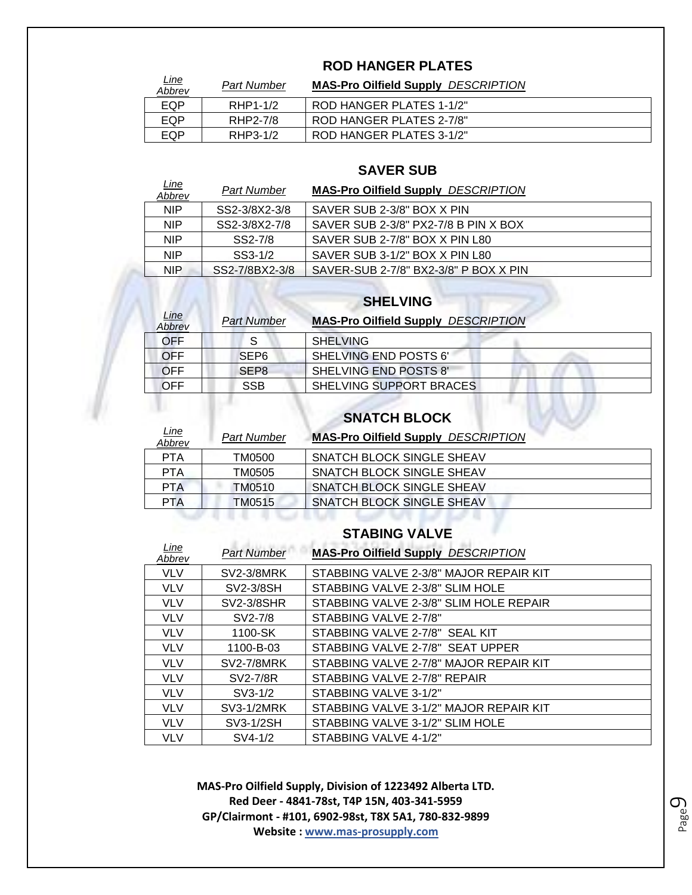#### **ROD HANGER PLATES**

| <u>Line</u><br>Abbrev | <b>Part Number</b> | <b>MAS-Pro Oilfield Supply DESCRIPTION</b> |
|-----------------------|--------------------|--------------------------------------------|
| EQP                   | RHP1-1/2           | ROD HANGER PLATES 1-1/2"                   |
| EQP                   | RHP2-7/8           | ROD HANGER PLATES 2-7/8"                   |
| EQP                   | RHP3-1/2           | ROD HANGER PLATES 3-1/2"                   |

#### **SAVER SUB**

| <u>Line</u><br>Abbrev | Part Number    | <b>MAS-Pro Oilfield Supply DESCRIPTION</b> |
|-----------------------|----------------|--------------------------------------------|
| NIP.                  | SS2-3/8X2-3/8  | SAVER SUB 2-3/8" BOX X PIN                 |
| NIP.                  | SS2-3/8X2-7/8  | SAVER SUB 2-3/8" PX2-7/8 B PIN X BOX       |
| NIP.                  | SS2-7/8        | SAVER SUB 2-7/8" BOX X PIN L80             |
| <b>NIP</b>            | SS3-1/2        | SAVER SUB 3-1/2" BOX X PIN L80             |
| NIP.                  | SS2-7/8BX2-3/8 | SAVER-SUB 2-7/8" BX2-3/8" P BOX X PIN      |
|                       |                |                                            |

#### **SHELVING**

| <u>Line</u><br>Abbrev | <b>Part Number</b> | <b>MAS-Pro Oilfield Supply DESCRIPTION</b> |
|-----------------------|--------------------|--------------------------------------------|
| OFF                   |                    | <b>SHELVING</b>                            |
| <b>OFF</b>            | SEP <sub>6</sub>   | SHELVING END POSTS 6'                      |
| OFF                   | SEP <sub>8</sub>   | SHELVING END POSTS 8'                      |
| <b>OFF</b>            | SSB.               | SHELVING SUPPORT BRACES                    |

### **SNATCH BLOCK**

| <u>Line</u><br>Abbrev | <b>Part Number</b> | <b>MAS-Pro Oilfield Supply DESCRIPTION</b> |
|-----------------------|--------------------|--------------------------------------------|
| <b>PTA</b>            | TM0500             | SNATCH BLOCK SINGLE SHEAV                  |
| <b>PTA</b>            | TM0505             | SNATCH BLOCK SINGLE SHEAV                  |
| <b>PTA</b>            | TM0510             | SNATCH BLOCK SINGLE SHEAV                  |
| <b>PTA</b>            | TM0515             | <b>SNATCH BLOCK SINGLE SHEAV</b>           |

#### **STABING VALVE**

| <u>Line</u><br>Abbrev | <b>Part Number</b> | <b>MAS-Pro Oilfield Supply DESCRIPTION</b> |
|-----------------------|--------------------|--------------------------------------------|
| <b>VLV</b>            | <b>SV2-3/8MRK</b>  | STABBING VALVE 2-3/8" MAJOR REPAIR KIT     |
| <b>VLV</b>            | SV2-3/8SH          | STABBING VALVE 2-3/8" SLIM HOLE            |
| <b>VLV</b>            | <b>SV2-3/8SHR</b>  | STABBING VALVE 2-3/8" SLIM HOLE REPAIR     |
| <b>VLV</b>            | SV2-7/8            | STABBING VALVE 2-7/8"                      |
| <b>VLV</b>            | 1100-SK            | STABBING VALVE 2-7/8" SEAL KIT             |
| <b>VLV</b>            | 1100-B-03          | STABBING VALVE 2-7/8" SEAT UPPER           |
| <b>VLV</b>            | <b>SV2-7/8MRK</b>  | STABBING VALVE 2-7/8" MAJOR REPAIR KIT     |
| <b>VLV</b>            | SV2-7/8R           | STABBING VALVE 2-7/8" REPAIR               |
| <b>VLV</b>            | $SV3-1/2$          | STABBING VALVE 3-1/2"                      |
| <b>VLV</b>            | SV3-1/2MRK         | STABBING VALVE 3-1/2" MAJOR REPAIR KIT     |
| <b>VLV</b>            | SV3-1/2SH          | STABBING VALVE 3-1/2" SLIM HOLE            |
| VLV                   | SV4-1/2            | STABBING VALVE 4-1/2"                      |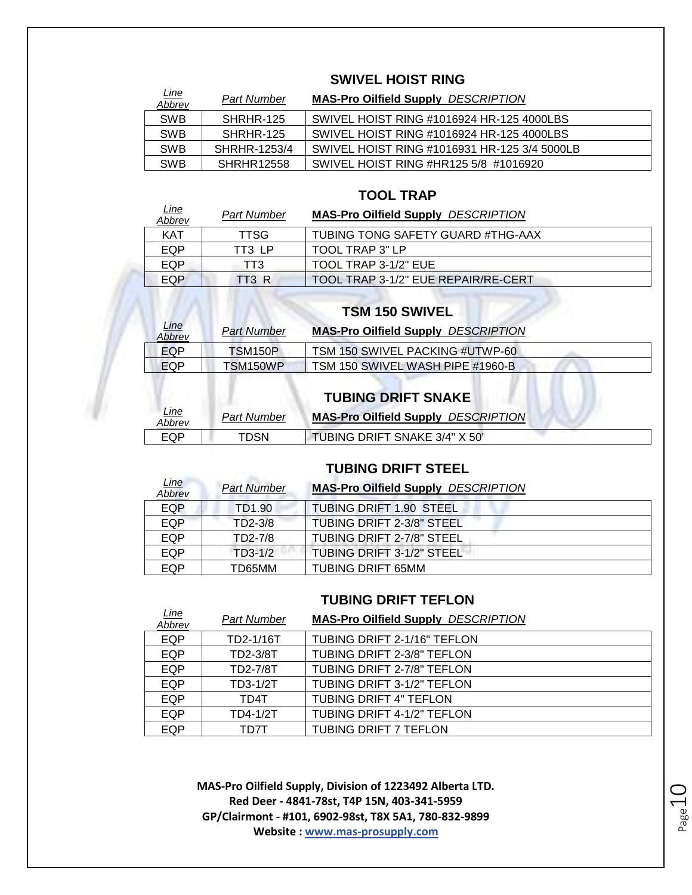#### **SWIVEL HOIST RING**

| <u>Line</u><br>Abbrev | <b>Part Number</b> | <b>MAS-Pro Oilfield Supply DESCRIPTION</b>   |
|-----------------------|--------------------|----------------------------------------------|
| <b>SWB</b>            | SHRHR-125          | SWIVEL HOIST RING #1016924 HR-125 4000LBS    |
| <b>SWB</b>            | SHRHR-125          | SWIVEL HOIST RING #1016924 HR-125 4000LBS    |
| <b>SWB</b>            | SHRHR-1253/4       | SWIVEL HOIST RING #1016931 HR-125 3/4 5000LB |
| <b>SWB</b>            | <b>SHRHR12558</b>  | SWIVEL HOIST RING #HR125 5/8 #1016920        |

#### **TOOL TRAP**

| <u>Line</u><br>Abbrev | Part Number | <b>MAS-Pro Oilfield Supply DESCRIPTION</b> |
|-----------------------|-------------|--------------------------------------------|
| <b>KAT</b>            | <b>TTSG</b> | <b>TUBING TONG SAFETY GUARD #THG-AAX</b>   |
| EQP                   | TT3 LP      | TOOL TRAP 3" LP                            |
| EQP                   | TT3         | TOOL TRAP 3-1/2" EUE                       |
| EQP                   | TT3 R       | TOOL TRAP 3-1/2" EUE REPAIR/RE-CERT        |

#### **TSM 150 SWIVEL**

| Line<br>Abbrev | <b>Part Number</b> | <b>MAS-Pro Oilfield Supply DESCRIPTION</b> |  |
|----------------|--------------------|--------------------------------------------|--|
| EQP            | TSM150P            | TSM 150 SWIVEL PACKING #UTWP-60            |  |
| EQP            | TSM150WP           | TSM 150 SWIVEL WASH PIPE #1960-B           |  |
|                |                    |                                            |  |

|                       |             | <b>TUBING DRIFT SNAKE</b>                  |  |
|-----------------------|-------------|--------------------------------------------|--|
| <u>Line</u><br>Abbrev | Part Number | <b>MAS-Pro Oilfield Supply DESCRIPTION</b> |  |
| EQP                   | TDSN        | TUBING DRIFT SNAKE 3/4" X 50"              |  |

#### **TUBING DRIFT STEEL**

| <u>Line</u><br>Abbrev | <b>Part Number</b> | <b>MAS-Pro Oilfield Supply DESCRIPTION</b> |
|-----------------------|--------------------|--------------------------------------------|
| <b>EQP</b>            | TD1.90             | TUBING DRIFT 1.90 STEEL                    |
| <b>EQP</b>            | TD2-3/8            | TUBING DRIFT 2-3/8" STEEL                  |
| EQP                   | TD2-7/8            | TUBING DRIFT 2-7/8" STEEL                  |
| EQP                   | $TD3-1/2$          | TUBING DRIFT 3-1/2" STEEL                  |
| EQP                   | TD65MM             | TUBING DRIFT 65MM                          |

#### **TUBING DRIFT TEFLON**

| <b>Line</b><br>Abbrev | <b>Part Number</b> | <b>MAS-Pro Oilfield Supply DESCRIPTION</b> |
|-----------------------|--------------------|--------------------------------------------|
| <b>EQP</b>            | TD2-1/16T          | TUBING DRIFT 2-1/16" TEFLON                |
| <b>EQP</b>            | TD2-3/8T           | TUBING DRIFT 2-3/8" TEFLON                 |
| EQP                   | TD2-7/8T           | TUBING DRIFT 2-7/8" TEFLON                 |
| EQP                   | TD3-1/2T           | TUBING DRIFT 3-1/2" TEFLON                 |
| <b>EQP</b>            | TD4T               | <b>TUBING DRIFT 4" TEFLON</b>              |
| EQP                   | TD4-1/2T           | TUBING DRIFT 4-1/2" TEFLON                 |
| EQP                   | TD7T               | <b>TUBING DRIFT 7 TEFLON</b>               |

Page10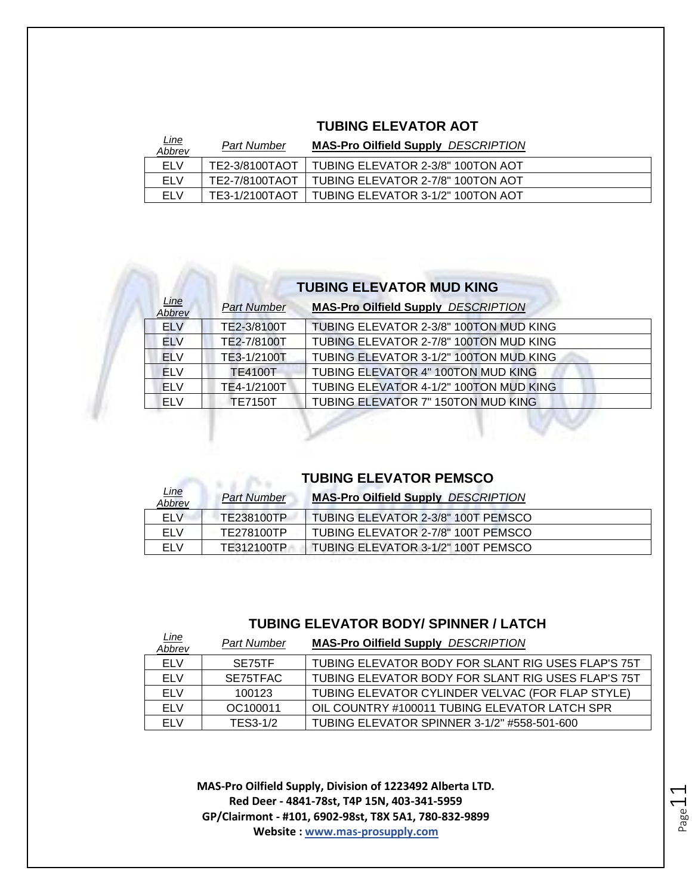#### **TUBING ELEVATOR AOT**

| <u>Line</u><br>Abbrev | Part Number    | <b>MAS-Pro Oilfield Supply DESCRIPTION</b> |
|-----------------------|----------------|--------------------------------------------|
| <b>ELV</b>            | TE2-3/8100TAOT | TUBING ELEVATOR 2-3/8" 100TON AOT          |
| <b>ELV</b>            | TE2-7/8100TAOT | TUBING ELEVATOR 2-7/8" 100TON AOT          |
| <b>ELV</b>            | TE3-1/2100TAOT | TUBING ELEVATOR 3-1/2" 100TON AOT          |

#### **TUBING ELEVATOR MUD KING**

| Line<br>Abbrev  | <b>Part Number</b> | <b>MAS-Pro Oilfield Supply DESCRIPTION</b> |
|-----------------|--------------------|--------------------------------------------|
| <b>ELV</b>      | TE2-3/8100T        | TUBING ELEVATOR 2-3/8" 100TON MUD KING     |
| <b>ELV</b>      | TE2-7/8100T        | TUBING ELEVATOR 2-7/8" 100TON MUD KING     |
| <b>ELV</b>      | TE3-1/2100T        | TUBING ELEVATOR 3-1/2" 100TON MUD KING     |
| FI <sub>V</sub> | <b>TE4100T</b>     | TUBING ELEVATOR 4" 100TON MUD KING         |
| FI V            | TE4-1/2100T        | TUBING ELEVATOR 4-1/2" 100TON MUD KING     |
| <b>ELV</b>      | <b>TE7150T</b>     | TUBING ELEVATOR 7" 150TON MUD KING         |
|                 |                    |                                            |

#### **TUBING ELEVATOR PEMSCO**

**STATE** 

| <u>Line</u><br>Abbrev | <b>Part Number</b> | <b>MAS-Pro Oilfield Supply DESCRIPTION</b> |
|-----------------------|--------------------|--------------------------------------------|
| <b>ELV</b>            | TE238100TP         | TUBING ELEVATOR 2-3/8" 100T PEMSCO         |
| <b>ELV</b>            | TE278100TP         | TUBING ELEVATOR 2-7/8" 100T PEMSCO         |
| <b>ELV</b>            | TE312100TP         | TUBING ELEVATOR 3-1/2" 100T PEMSCO         |

#### **TUBING ELEVATOR BODY/ SPINNER / LATCH**

| <u>Line</u><br>Abbrev | Part Number | <b>MAS-Pro Oilfield Supply DESCRIPTION</b>         |
|-----------------------|-------------|----------------------------------------------------|
| <b>ELV</b>            | SE75TF      | TUBING ELEVATOR BODY FOR SLANT RIG USES FLAP'S 75T |
| <b>ELV</b>            | SE75TFAC    | TUBING ELEVATOR BODY FOR SLANT RIG USES FLAP'S 75T |
| <b>ELV</b>            | 100123      | TUBING ELEVATOR CYLINDER VELVAC (FOR FLAP STYLE)   |
| ELV                   | OC100011    | OIL COUNTRY #100011 TUBING ELEVATOR LATCH SPR      |
| FI V                  | TES3-1/2    | TUBING ELEVATOR SPINNER 3-1/2" #558-501-600        |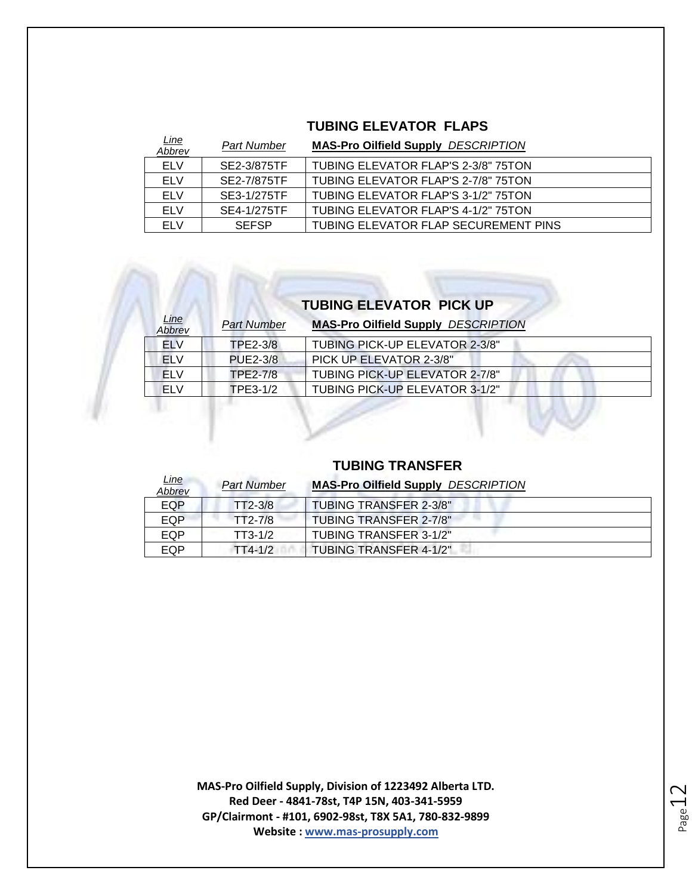#### **TUBING ELEVATOR FLAPS**

| <u>Line</u><br><u>Abbrev</u> | Part Number  | <b>MAS-Pro Oilfield Supply DESCRIPTION</b> |
|------------------------------|--------------|--------------------------------------------|
| <b>ELV</b>                   | SE2-3/875TF  | TUBING ELEVATOR FLAP'S 2-3/8" 75TON        |
| <b>ELV</b>                   | SE2-7/875TF  | TUBING ELEVATOR FLAP'S 2-7/8" 75TON        |
| ELV                          | SE3-1/275TF  | TUBING ELEVATOR FLAP'S 3-1/2" 75TON        |
| <b>ELV</b>                   | SE4-1/275TF  | TUBING ELEVATOR FLAP'S 4-1/2" 75TON        |
| <b>ELV</b>                   | <b>SEFSP</b> | TUBING ELEVATOR FLAP SECUREMENT PINS       |

### **TUBING ELEVATOR PICK UP**

| Line<br>Abbrev | <b>Part Number</b> | <b>MAS-Pro Oilfield Supply DESCRIPTION</b> |
|----------------|--------------------|--------------------------------------------|
| EL V           | TPE2-3/8           | TUBING PICK-UP ELEVATOR 2-3/8"             |
| <b>ELV</b>     | <b>PUE2-3/8</b>    | <b>PICK UP ELEVATOR 2-3/8"</b>             |
| FI V           | TPE2-7/8           | TUBING PICK-UP ELEVATOR 2-7/8"             |
| FI V           | TPE3-1/2           | TUBING PICK-UP ELEVATOR 3-1/2"             |
|                |                    |                                            |

#### **TUBING TRANSFER**

| Line<br>Abbrev | <b>Part Number</b> | <b>MAS-Pro Oilfield Supply DESCRIPTION</b> |
|----------------|--------------------|--------------------------------------------|
| EQP            | $TT2-3/8$          | TUBING TRANSFER 2-3/8"                     |
| EQP            | TT2-7/8            | <b>TUBING TRANSFER 2-7/8"</b>              |
| <b>EQP</b>     | $TT3-1/2$          | TUBING TRANSFER 3-1/2"                     |
| EQP            | $TT4-1/2$          | TUBING TRANSFER 4-1/2"                     |

Page 12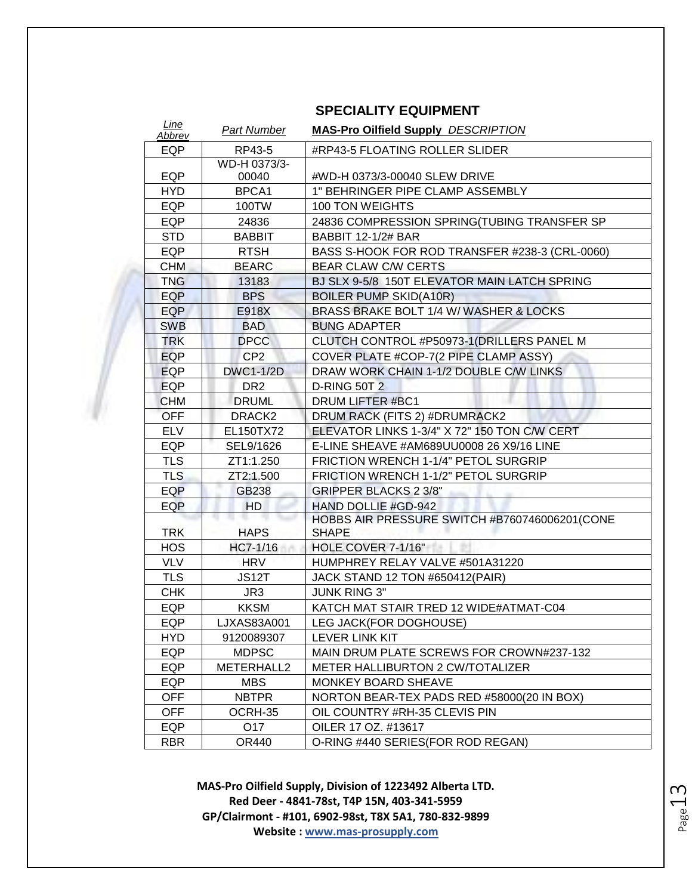| <b>SPECIALITY EQUIPMENT</b> |  |  |
|-----------------------------|--|--|
|-----------------------------|--|--|

| Line<br><b>Abbrev</b> | <b>Part Number</b> | <b>MAS-Pro Oilfield Supply DESCRIPTION</b>     |
|-----------------------|--------------------|------------------------------------------------|
| EQP                   | RP43-5             | #RP43-5 FLOATING ROLLER SLIDER                 |
|                       | WD-H 0373/3-       |                                                |
| EQP                   | 00040              | #WD-H 0373/3-00040 SLEW DRIVE                  |
| HYD                   | BPCA1              | 1" BEHRINGER PIPE CLAMP ASSEMBLY               |
| EQP                   | 100TW              | <b>100 TON WEIGHTS</b>                         |
| <b>EQP</b>            | 24836              | 24836 COMPRESSION SPRING(TUBING TRANSFER SP    |
| <b>STD</b>            | <b>BABBIT</b>      | <b>BABBIT 12-1/2# BAR</b>                      |
| EQP                   | <b>RTSH</b>        | BASS S-HOOK FOR ROD TRANSFER #238-3 (CRL-0060) |
| <b>CHM</b>            | <b>BEARC</b>       | <b>BEAR CLAW C/W CERTS</b>                     |
| <b>TNG</b>            | 13183              | BJ SLX 9-5/8 150T ELEVATOR MAIN LATCH SPRING   |
| <b>EQP</b>            | <b>BPS</b>         | <b>BOILER PUMP SKID(A10R)</b>                  |
| EQP                   | E918X              | BRASS BRAKE BOLT 1/4 W/ WASHER & LOCKS         |
| <b>SWB</b>            | <b>BAD</b>         | <b>BUNG ADAPTER</b>                            |
| <b>TRK</b>            | <b>DPCC</b>        | CLUTCH CONTROL #P50973-1(DRILLERS PANEL M      |
| <b>EQP</b>            | CP <sub>2</sub>    | COVER PLATE #COP-7(2 PIPE CLAMP ASSY)          |
| <b>EQP</b>            | <b>DWC1-1/2D</b>   | DRAW WORK CHAIN 1-1/2 DOUBLE C/W LINKS         |
| <b>EQP</b>            | DR <sub>2</sub>    | <b>D-RING 50T 2</b>                            |
| <b>CHM</b>            | <b>DRUML</b>       | DRUM LIFTER #BC1                               |
| <b>OFF</b>            | DRACK <sub>2</sub> | DRUM RACK (FITS 2) #DRUMRACK2                  |
| <b>ELV</b>            | EL150TX72          | ELEVATOR LINKS 1-3/4" X 72" 150 TON C/W CERT   |
| EQP                   | SEL9/1626          | E-LINE SHEAVE #AM689UU0008 26 X9/16 LINE       |
| <b>TLS</b>            | ZT1:1.250          | FRICTION WRENCH 1-1/4" PETOL SURGRIP           |
| <b>TLS</b>            | ZT2:1.500          | FRICTION WRENCH 1-1/2" PETOL SURGRIP           |
| <b>EQP</b>            | GB238              | <b>GRIPPER BLACKS 2 3/8"</b>                   |
| EQP                   | <b>HD</b>          | HAND DOLLIE #GD-942                            |
|                       | ۰.                 | HOBBS AIR PRESSURE SWITCH #B760746006201(CONE  |
| <b>TRK</b>            | <b>HAPS</b>        | <b>SHAPE</b>                                   |
| <b>HOS</b>            | HC7-1/16           | HOLE COVER 7-1/16"                             |
| <b>VLV</b>            | <b>HRV</b>         | HUMPHREY RELAY VALVE #501A31220                |
| <b>TLS</b>            | <b>JS12T</b>       | JACK STAND 12 TON #650412(PAIR)                |
| <b>CHK</b>            | JR3                | <b>JUNK RING 3"</b>                            |
| EQP                   | <b>KKSM</b>        | KATCH MAT STAIR TRED 12 WIDE#ATMAT-C04         |
| EQP                   | LJXAS83A001        | LEG JACK(FOR DOGHOUSE)                         |
| HYD                   | 9120089307         | LEVER LINK KIT                                 |
| EQP                   | <b>MDPSC</b>       | MAIN DRUM PLATE SCREWS FOR CROWN#237-132       |
| EQP                   | METERHALL2         | <b>METER HALLIBURTON 2 CW/TOTALIZER</b>        |
| EQP                   | <b>MBS</b>         | <b>MONKEY BOARD SHEAVE</b>                     |
| <b>OFF</b>            | <b>NBTPR</b>       | NORTON BEAR-TEX PADS RED #58000(20 IN BOX)     |
| <b>OFF</b>            | OCRH-35            | OIL COUNTRY #RH-35 CLEVIS PIN                  |
| EQP                   | O17                | OILER 17 OZ. #13617                            |
| <b>RBR</b>            | OR440              | O-RING #440 SERIES (FOR ROD REGAN)             |

Page13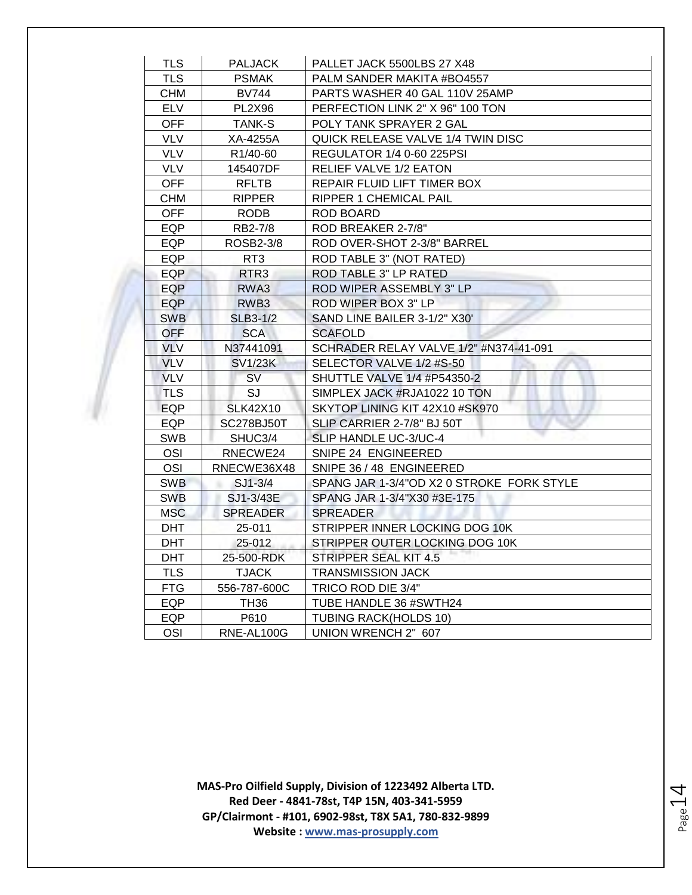| <b>TLS</b> | PALJACK               | PALLET JACK 5500LBS 27 X48                |
|------------|-----------------------|-------------------------------------------|
| <b>TLS</b> | <b>PSMAK</b>          | PALM SANDER MAKITA #BO4557                |
| CHM        | <b>BV744</b>          | PARTS WASHER 40 GAL 110V 25AMP            |
| <b>ELV</b> | <b>PL2X96</b>         | PERFECTION LINK 2" X 96" 100 TON          |
| OFF.       | TANK-S                | POLY TANK SPRAYER 2 GAL                   |
| <b>VLV</b> | XA-4255A              | QUICK RELEASE VALVE 1/4 TWIN DISC         |
| <b>VLV</b> | R <sub>1</sub> /40-60 | REGULATOR 1/4 0-60 225PSI                 |
| <b>VLV</b> | 145407DF              | RELIEF VALVE 1/2 EATON                    |
| <b>OFF</b> | <b>RFLTB</b>          | REPAIR FLUID LIFT TIMER BOX               |
| <b>CHM</b> | <b>RIPPER</b>         | RIPPER 1 CHEMICAL PAIL                    |
| <b>OFF</b> | <b>RODB</b>           | ROD BOARD                                 |
| EQP        | RB2-7/8               | ROD BREAKER 2-7/8"                        |
| EQP        | ROSB2-3/8             | ROD OVER-SHOT 2-3/8" BARREL               |
| <b>EQP</b> | RT <sub>3</sub>       | ROD TABLE 3" (NOT RATED)                  |
| EQP        | RTR3                  | ROD TABLE 3" LP RATED                     |
| EQP        | RWA3                  | ROD WIPER ASSEMBLY 3" LP                  |
| EQP        | RWB <sub>3</sub>      | ROD WIPER BOX 3" LP                       |
| <b>SWB</b> | <b>SLB3-1/2</b>       | SAND LINE BAILER 3-1/2" X30'              |
| <b>OFF</b> | <b>SCA</b>            | <b>SCAFOLD</b>                            |
| VLV        | N37441091             | SCHRADER RELAY VALVE 1/2" #N374-41-091    |
| <b>VLV</b> | <b>SV1/23K</b>        | SELECTOR VALVE 1/2 #S-50                  |
| <b>VLV</b> | <b>SV</b>             | SHUTTLE VALVE 1/4 #P54350-2               |
| <b>TLS</b> | SJ                    | SIMPLEX JACK #RJA1022 10 TON              |
| <b>EQP</b> | <b>SLK42X10</b>       | SKYTOP LINING KIT 42X10 #SK970            |
| EQP        | <b>SC278BJ50T</b>     | SLIP CARRIER 2-7/8" BJ 50T                |
| <b>SWB</b> | SHUC3/4               | SLIP HANDLE UC-3/UC-4                     |
| OSI        | RNECWE24              | SNIPE 24 ENGINEERED                       |
| OSI        | RNECWE36X48           | SNIPE 36 / 48 ENGINEERED                  |
| <b>SWB</b> | $SJ1-3/4$             | SPANG JAR 1-3/4"OD X2 0 STROKE FORK STYLE |
| <b>SWB</b> | SJ1-3/43E             | SPANG JAR 1-3/4"X30 #3E-175               |
| <b>MSC</b> | SPREADER              | <b>SPREADER</b>                           |
| <b>DHT</b> | 25-011                | STRIPPER INNER LOCKING DOG 10K            |
| DHT        | 25-012                | STRIPPER OUTER LOCKING DOG 10K            |
| <b>DHT</b> | 25-500-RDK            | STRIPPER SEAL KIT 4.5                     |
| <b>TLS</b> | <b>TJACK</b>          | <b>TRANSMISSION JACK</b>                  |
| <b>FTG</b> | 556-787-600C          | TRICO ROD DIE 3/4"                        |
| EQP        | <b>TH36</b>           | TUBE HANDLE 36 #SWTH24                    |
| EQP.       | P610                  | <b>TUBING RACK(HOLDS 10)</b>              |
| <b>OSI</b> | RNE-AL100G            | UNION WRENCH 2" 607                       |

Page14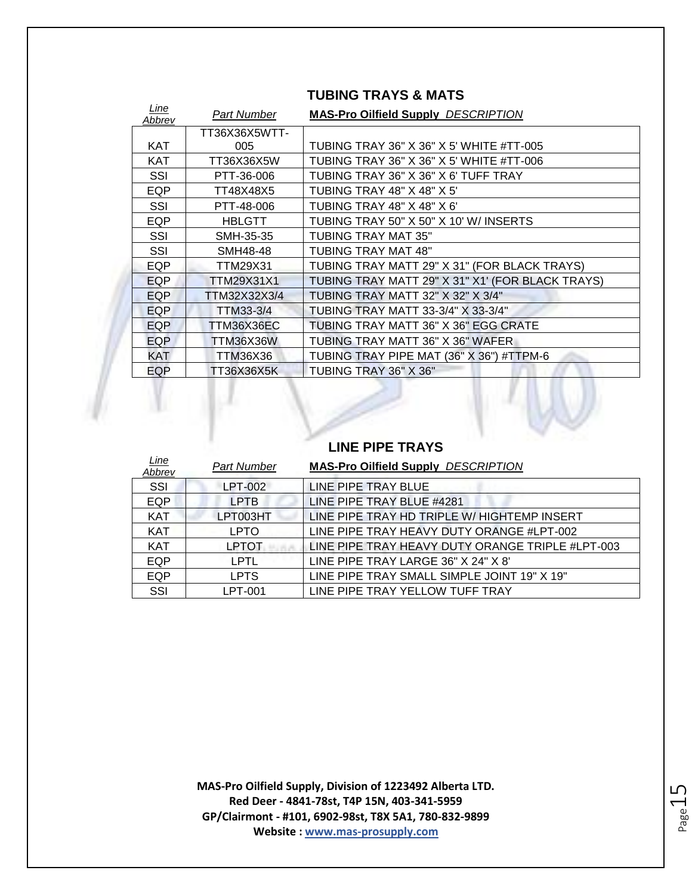| Line<br>Abbrev | Part Number   | <b>MAS-Pro Oilfield Supply DESCRIPTION</b>       |
|----------------|---------------|--------------------------------------------------|
|                | TT36X36X5WTT- |                                                  |
| <b>KAT</b>     | 005           | TUBING TRAY 36" X 36" X 5' WHITE #TT-005         |
| <b>KAT</b>     | TT36X36X5W    | TUBING TRAY 36" X 36" X 5' WHITE #TT-006         |
| SSI            | PTT-36-006    | TUBING TRAY 36" X 36" X 6' TUFF TRAY             |
| EQP            | TT48X48X5     | <b>TUBING TRAY 48" X 48" X 5'</b>                |
| SSI            | PTT-48-006    | <b>TUBING TRAY 48" X 48" X 6"</b>                |
| <b>EQP</b>     | <b>HBLGTT</b> | TUBING TRAY 50" X 50" X 10' W/ INSERTS           |
| SSI            | SMH-35-35     | TUBING TRAY MAT 35"                              |
| SSI            | SMH48-48      | <b>TUBING TRAY MAT 48"</b>                       |
| EQP            | TTM29X31      | TUBING TRAY MATT 29" X 31" (FOR BLACK TRAYS)     |
| EQP            | TTM29X31X1    | TUBING TRAY MATT 29" X 31" X1' (FOR BLACK TRAYS) |
| EQP            | TTM32X32X3/4  | TUBING TRAY MATT 32" X 32" X 3/4"                |
| EQP            | TTM33-3/4     | TUBING TRAY MATT 33-3/4" X 33-3/4"               |
| EQP            | TTM36X36EC    | TUBING TRAY MATT 36" X 36" EGG CRATE             |
| EQP            | TTM36X36W     | TUBING TRAY MATT 36" X 36" WAFER                 |
| KAT            | TTM36X36      | TUBING TRAY PIPE MAT (36" X 36") #TTPM-6         |
| EQP            | TT36X36X5K    | TUBING TRAY 36" X 36"                            |

#### **TUBING TRAYS & MATS**

#### **LINE PIPE TRAYS**

| <u>Line</u><br>Abbrev | <b>Part Number</b> | <b>MAS-Pro Oilfield Supply DESCRIPTION</b>       |
|-----------------------|--------------------|--------------------------------------------------|
| <b>SSI</b>            | LPT-002            | LINE PIPE TRAY BLUE                              |
| <b>EQP</b>            | <b>LPTB</b>        | LINE PIPE TRAY BLUE #4281                        |
| <b>KAT</b>            | LPT003HT           | LINE PIPE TRAY HD TRIPLE W/ HIGHTEMP INSERT      |
| <b>KAT</b>            | LPTO.              | LINE PIPE TRAY HEAVY DUTY ORANGE #LPT-002        |
| <b>KAT</b>            | <b>LPTOT</b>       | LINE PIPE TRAY HEAVY DUTY ORANGE TRIPLE #LPT-003 |
| <b>EQP</b>            | LPTL               | LINE PIPE TRAY LARGE 36" X 24" X 8'              |
| <b>EQP</b>            | <b>LPTS</b>        | LINE PIPE TRAY SMALL SIMPLE JOINT 19" X 19"      |
| SSI                   | LPT-001            | LINE PIPE TRAY YELLOW TUFF TRAY                  |
|                       |                    |                                                  |